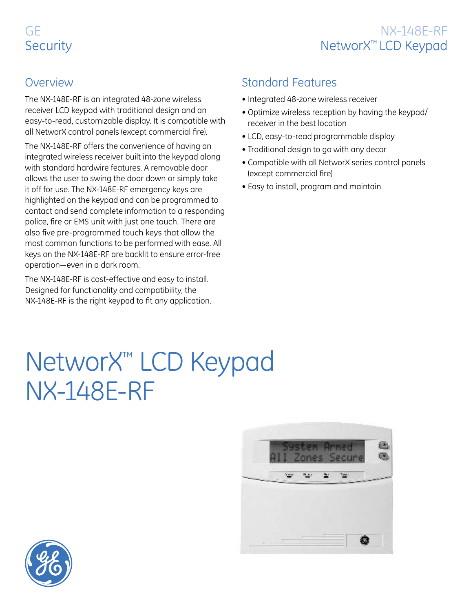# GE **Security**



#### **Overview**

The NX-148E-RF is an integrated 48-zone wireless receiver LCD keypad with traditional design and an easy-to-read, customizable display. It is compatible with all NetworX control panels (except commercial fire).

The NX-148E-RF offers the convenience of having an integrated wireless receiver built into the keypad along with standard hardwire features. A removable door allows the user to swing the door down or simply take it off for use. The NX-148E-RF emergency keys are highlighted on the keypad and can be programmed to contact and send complete information to a responding police, fire or EMS unit with just one touch. There are also five pre-programmed touch keys that allow the most common functions to be performed with ease. All keys on the NX-148E-RF are backlit to ensure error-free operation—even in a dark room.

The NX-148E-RF is cost-effective and easy to install. Designed for functionality and compatibility, the NX-148E-RF is the right keypad to fit any application.

### Standard Features

- Integrated 48-zone wireless receiver
- Optimize wireless reception by having the keypad/ receiver in the best location
- LCD, easy-to-read programmable display
- Traditional design to go with any decor
- Compatible with all NetworX series control panels (except commercial fire)
- Easy to install, program and maintain

# NetworX™ LCD Keypad NX-148E-RF